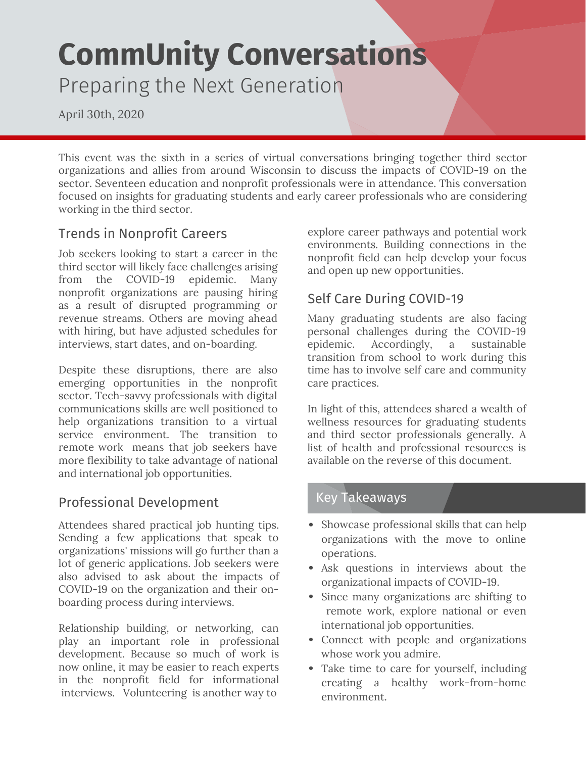# **CommUnity Conversations** Preparing the Next Generation

April 30th, 2020

This event was the sixth in a series of virtual conversations bringing together third sector organizations and allies from around Wisconsin to discuss the impacts of COVID-19 on the sector. Seventeen education and nonprofit professionals were in attendance. This conversation focused on insights for graduating students and early career professionals who are considering working in the third sector.

## Trends in Nonprofit Careers

Job seekers looking to start a career in the third sector will likely face challenges arising from the COVID-19 epidemic. Many nonprofit organizations are pausing hiring as a result of disrupted programming or revenue streams. Others are moving ahead with hiring, but have adjusted schedules for interviews, start dates, and on-boarding.

Despite these disruptions, there are also emerging opportunities in the nonprofit sector. Tech-savvy professionals with digital communications skills are well positioned to help organizations transition to a virtual service environment. The transition to remote work means that job seekers have more flexibility to take advantage of national and international job opportunities.

#### Professional Development

Attendees shared practical job hunting tips. Sending a few applications that speak to organizations' missions will go further than a lot of generic applications. Job seekers were also advised to ask about the impacts of COVID-19 on the organization and their onboarding process during interviews.

Relationship building, or networking, can play an important role in professional development. Because so much of work is now online, it may be easier to reach experts in the nonprofit field for informational interviews. Volunteering is another way to

explore career pathways and potential work environments. Building connections in the nonprofit field can help develop your focus and open up new opportunities.

## Self Care During COVID-19

Many graduating students are also facing personal challenges during the COVID-19 epidemic. Accordingly, a sustainable transition from school to work during this time has to involve self care and community care practices.

In light of this, attendees shared a wealth of wellness resources for graduating students and third sector professionals generally. A list of health and professional resources is available on the reverse of this document.

#### Key Takeaways

- Showcase professional skills that can help organizations with the move to online operations.
- Ask questions in interviews about the organizational impacts of COVID-19.
- Since many organizations are shifting to remote work, explore national or even international job opportunities.
- Connect with people and organizations whose work you admire.
- Take time to care for yourself, including creating a healthy work-from-home environment.